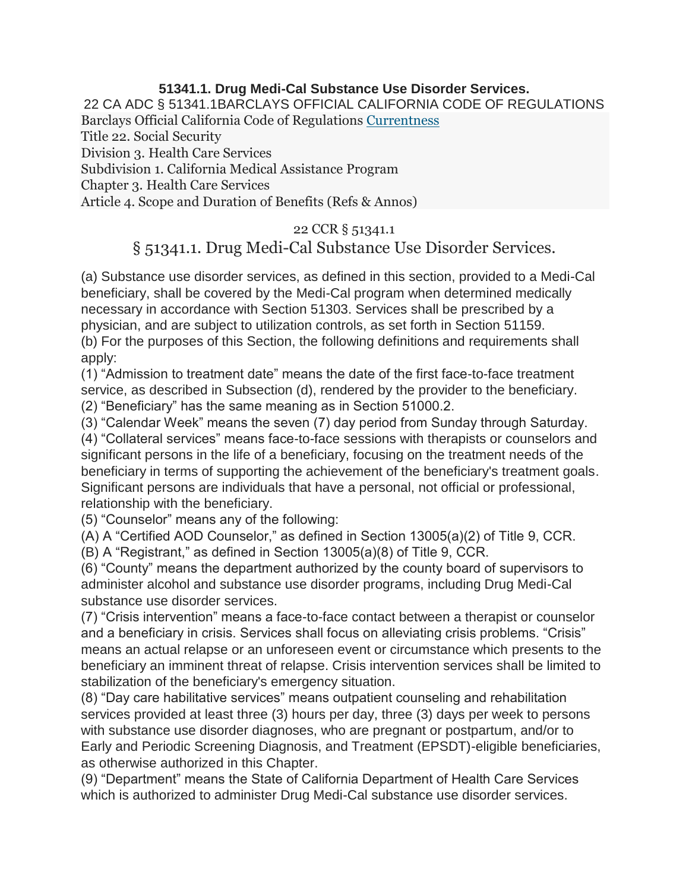## **51341.1. Drug Medi-Cal Substance Use Disorder Services.**

22 CA ADC § 51341.1BARCLAYS OFFICIAL CALIFORNIA CODE OF REGULATIONS Barclays Official California Code of Regulations [Currentness](https://govt.westlaw.com/calregs/Document/I12C91B008DA411E4A0F094BBA3CAFB62?viewType=FullText&originationContext=documenttoc&transitionType=CategoryPageItem&contextData=(sc.Default)#co_anchor_IF8BD5C00E8A4482587A45816D2BDE9D4) Title 22. Social Security Division 3. Health Care Services

Subdivision 1. California Medical Assistance Program

Chapter 3. Health Care Services

Article 4. Scope and Duration of Benefits (Refs & Annos)

## 22 CCR § 51341.1

## § 51341.1. Drug Medi-Cal Substance Use Disorder Services.

(a) Substance use disorder services, as defined in this section, provided to a Medi-Cal beneficiary, shall be covered by the Medi-Cal program when determined medically necessary in accordance with Section 51303. Services shall be prescribed by a physician, and are subject to utilization controls, as set forth in Section 51159. (b) For the purposes of this Section, the following definitions and requirements shall apply:

(1) "Admission to treatment date" means the date of the first face-to-face treatment service, as described in Subsection (d), rendered by the provider to the beneficiary. (2) "Beneficiary" has the same meaning as in Section 51000.2.

(3) "Calendar Week" means the seven (7) day period from Sunday through Saturday.

(4) "Collateral services" means face-to-face sessions with therapists or counselors and significant persons in the life of a beneficiary, focusing on the treatment needs of the beneficiary in terms of supporting the achievement of the beneficiary's treatment goals. Significant persons are individuals that have a personal, not official or professional, relationship with the beneficiary.

(5) "Counselor" means any of the following:

(A) A "Certified AOD Counselor," as defined in Section 13005(a)(2) of Title 9, CCR.

(B) A "Registrant," as defined in Section 13005(a)(8) of Title 9, CCR.

(6) "County" means the department authorized by the county board of supervisors to administer alcohol and substance use disorder programs, including Drug Medi-Cal substance use disorder services.

(7) "Crisis intervention" means a face-to-face contact between a therapist or counselor and a beneficiary in crisis. Services shall focus on alleviating crisis problems. "Crisis" means an actual relapse or an unforeseen event or circumstance which presents to the beneficiary an imminent threat of relapse. Crisis intervention services shall be limited to stabilization of the beneficiary's emergency situation.

(8) "Day care habilitative services" means outpatient counseling and rehabilitation services provided at least three (3) hours per day, three (3) days per week to persons with substance use disorder diagnoses, who are pregnant or postpartum, and/or to Early and Periodic Screening Diagnosis, and Treatment (EPSDT)-eligible beneficiaries, as otherwise authorized in this Chapter.

(9) "Department" means the State of California Department of Health Care Services which is authorized to administer Drug Medi-Cal substance use disorder services.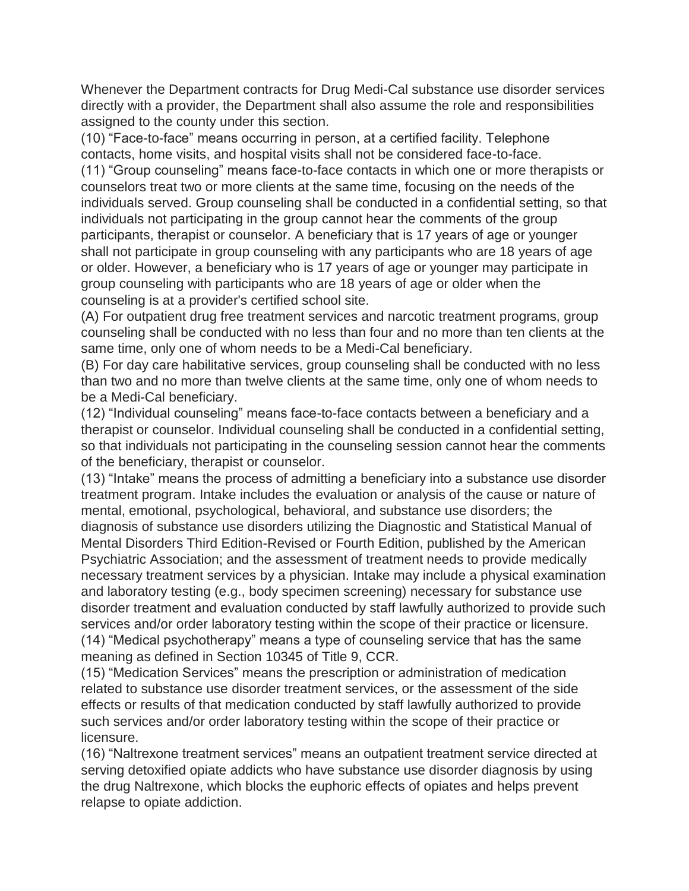Whenever the Department contracts for Drug Medi-Cal substance use disorder services directly with a provider, the Department shall also assume the role and responsibilities assigned to the county under this section.

(10) "Face-to-face" means occurring in person, at a certified facility. Telephone contacts, home visits, and hospital visits shall not be considered face-to-face. (11) "Group counseling" means face-to-face contacts in which one or more therapists or counselors treat two or more clients at the same time, focusing on the needs of the individuals served. Group counseling shall be conducted in a confidential setting, so that individuals not participating in the group cannot hear the comments of the group participants, therapist or counselor. A beneficiary that is 17 years of age or younger shall not participate in group counseling with any participants who are 18 years of age or older. However, a beneficiary who is 17 years of age or younger may participate in group counseling with participants who are 18 years of age or older when the counseling is at a provider's certified school site.

(A) For outpatient drug free treatment services and narcotic treatment programs, group counseling shall be conducted with no less than four and no more than ten clients at the same time, only one of whom needs to be a Medi-Cal beneficiary.

(B) For day care habilitative services, group counseling shall be conducted with no less than two and no more than twelve clients at the same time, only one of whom needs to be a Medi-Cal beneficiary.

(12) "Individual counseling" means face-to-face contacts between a beneficiary and a therapist or counselor. Individual counseling shall be conducted in a confidential setting, so that individuals not participating in the counseling session cannot hear the comments of the beneficiary, therapist or counselor.

(13) "Intake" means the process of admitting a beneficiary into a substance use disorder treatment program. Intake includes the evaluation or analysis of the cause or nature of mental, emotional, psychological, behavioral, and substance use disorders; the diagnosis of substance use disorders utilizing the Diagnostic and Statistical Manual of Mental Disorders Third Edition-Revised or Fourth Edition, published by the American Psychiatric Association; and the assessment of treatment needs to provide medically necessary treatment services by a physician. Intake may include a physical examination and laboratory testing (e.g., body specimen screening) necessary for substance use disorder treatment and evaluation conducted by staff lawfully authorized to provide such services and/or order laboratory testing within the scope of their practice or licensure. (14) "Medical psychotherapy" means a type of counseling service that has the same meaning as defined in Section 10345 of Title 9, CCR.

(15) "Medication Services" means the prescription or administration of medication related to substance use disorder treatment services, or the assessment of the side effects or results of that medication conducted by staff lawfully authorized to provide such services and/or order laboratory testing within the scope of their practice or licensure.

(16) "Naltrexone treatment services" means an outpatient treatment service directed at serving detoxified opiate addicts who have substance use disorder diagnosis by using the drug Naltrexone, which blocks the euphoric effects of opiates and helps prevent relapse to opiate addiction.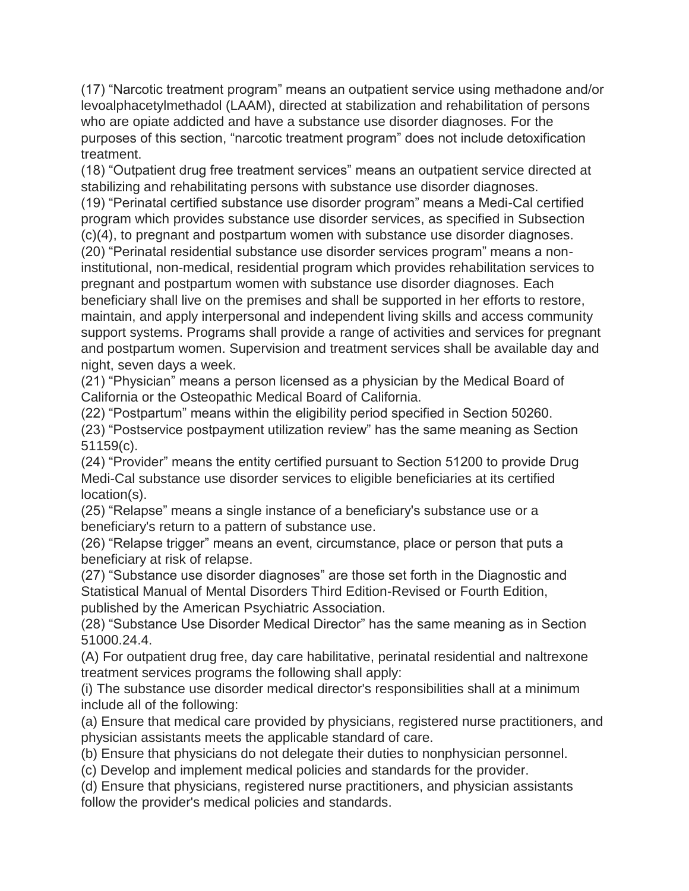(17) "Narcotic treatment program" means an outpatient service using methadone and/or levoalphacetylmethadol (LAAM), directed at stabilization and rehabilitation of persons who are opiate addicted and have a substance use disorder diagnoses. For the purposes of this section, "narcotic treatment program" does not include detoxification treatment.

(18) "Outpatient drug free treatment services" means an outpatient service directed at stabilizing and rehabilitating persons with substance use disorder diagnoses.

(19) "Perinatal certified substance use disorder program" means a Medi-Cal certified program which provides substance use disorder services, as specified in Subsection (c)(4), to pregnant and postpartum women with substance use disorder diagnoses.

(20) "Perinatal residential substance use disorder services program" means a noninstitutional, non-medical, residential program which provides rehabilitation services to pregnant and postpartum women with substance use disorder diagnoses. Each beneficiary shall live on the premises and shall be supported in her efforts to restore, maintain, and apply interpersonal and independent living skills and access community support systems. Programs shall provide a range of activities and services for pregnant and postpartum women. Supervision and treatment services shall be available day and night, seven days a week.

(21) "Physician" means a person licensed as a physician by the Medical Board of California or the Osteopathic Medical Board of California.

(22) "Postpartum" means within the eligibility period specified in Section 50260. (23) "Postservice postpayment utilization review" has the same meaning as Section 51159(c).

(24) "Provider" means the entity certified pursuant to Section 51200 to provide Drug Medi-Cal substance use disorder services to eligible beneficiaries at its certified location(s).

(25) "Relapse" means a single instance of a beneficiary's substance use or a beneficiary's return to a pattern of substance use.

(26) "Relapse trigger" means an event, circumstance, place or person that puts a beneficiary at risk of relapse.

(27) "Substance use disorder diagnoses" are those set forth in the Diagnostic and Statistical Manual of Mental Disorders Third Edition-Revised or Fourth Edition, published by the American Psychiatric Association.

(28) "Substance Use Disorder Medical Director" has the same meaning as in Section 51000.24.4.

(A) For outpatient drug free, day care habilitative, perinatal residential and naltrexone treatment services programs the following shall apply:

(i) The substance use disorder medical director's responsibilities shall at a minimum include all of the following:

(a) Ensure that medical care provided by physicians, registered nurse practitioners, and physician assistants meets the applicable standard of care.

(b) Ensure that physicians do not delegate their duties to nonphysician personnel.

(c) Develop and implement medical policies and standards for the provider.

(d) Ensure that physicians, registered nurse practitioners, and physician assistants follow the provider's medical policies and standards.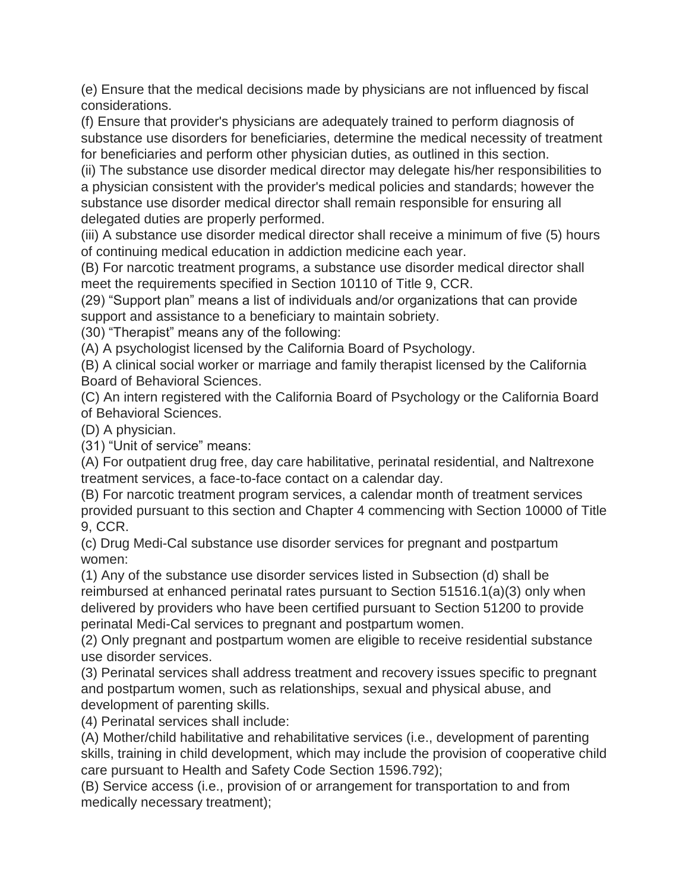(e) Ensure that the medical decisions made by physicians are not influenced by fiscal considerations.

(f) Ensure that provider's physicians are adequately trained to perform diagnosis of substance use disorders for beneficiaries, determine the medical necessity of treatment for beneficiaries and perform other physician duties, as outlined in this section.

(ii) The substance use disorder medical director may delegate his/her responsibilities to a physician consistent with the provider's medical policies and standards; however the substance use disorder medical director shall remain responsible for ensuring all delegated duties are properly performed.

(iii) A substance use disorder medical director shall receive a minimum of five (5) hours of continuing medical education in addiction medicine each year.

(B) For narcotic treatment programs, a substance use disorder medical director shall meet the requirements specified in Section 10110 of Title 9, CCR.

(29) "Support plan" means a list of individuals and/or organizations that can provide support and assistance to a beneficiary to maintain sobriety.

(30) "Therapist" means any of the following:

(A) A psychologist licensed by the California Board of Psychology.

(B) A clinical social worker or marriage and family therapist licensed by the California Board of Behavioral Sciences.

(C) An intern registered with the California Board of Psychology or the California Board of Behavioral Sciences.

(D) A physician.

(31) "Unit of service" means:

(A) For outpatient drug free, day care habilitative, perinatal residential, and Naltrexone treatment services, a face-to-face contact on a calendar day.

(B) For narcotic treatment program services, a calendar month of treatment services provided pursuant to this section and Chapter 4 commencing with Section 10000 of Title 9, CCR.

(c) Drug Medi-Cal substance use disorder services for pregnant and postpartum women:

(1) Any of the substance use disorder services listed in Subsection (d) shall be reimbursed at enhanced perinatal rates pursuant to Section 51516.1(a)(3) only when delivered by providers who have been certified pursuant to Section 51200 to provide perinatal Medi-Cal services to pregnant and postpartum women.

(2) Only pregnant and postpartum women are eligible to receive residential substance use disorder services.

(3) Perinatal services shall address treatment and recovery issues specific to pregnant and postpartum women, such as relationships, sexual and physical abuse, and development of parenting skills.

(4) Perinatal services shall include:

(A) Mother/child habilitative and rehabilitative services (i.e., development of parenting skills, training in child development, which may include the provision of cooperative child care pursuant to Health and Safety Code Section 1596.792);

(B) Service access (i.e., provision of or arrangement for transportation to and from medically necessary treatment);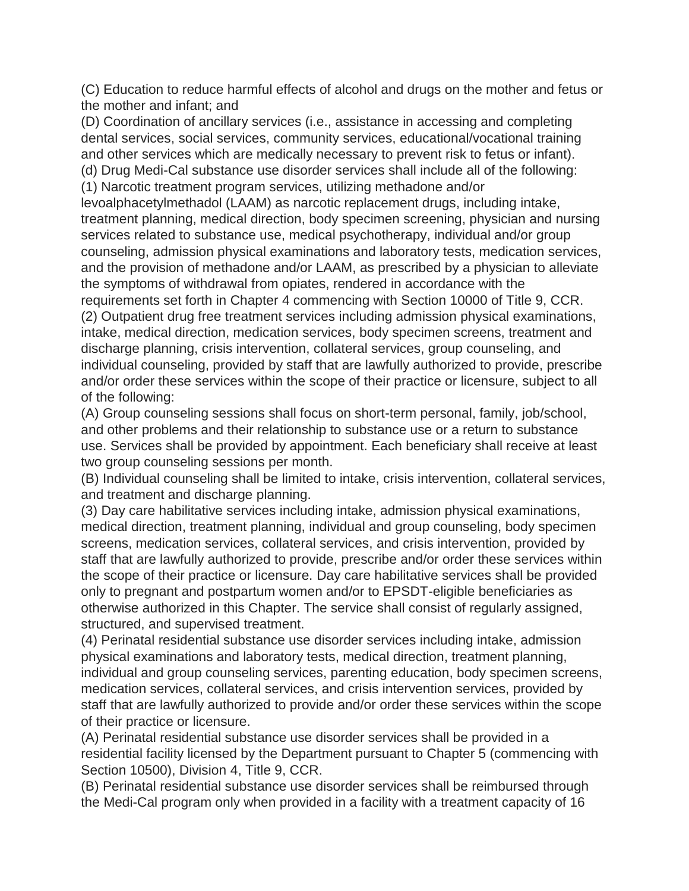(C) Education to reduce harmful effects of alcohol and drugs on the mother and fetus or the mother and infant; and

(D) Coordination of ancillary services (i.e., assistance in accessing and completing dental services, social services, community services, educational/vocational training and other services which are medically necessary to prevent risk to fetus or infant). (d) Drug Medi-Cal substance use disorder services shall include all of the following:

(1) Narcotic treatment program services, utilizing methadone and/or

levoalphacetylmethadol (LAAM) as narcotic replacement drugs, including intake, treatment planning, medical direction, body specimen screening, physician and nursing services related to substance use, medical psychotherapy, individual and/or group counseling, admission physical examinations and laboratory tests, medication services, and the provision of methadone and/or LAAM, as prescribed by a physician to alleviate the symptoms of withdrawal from opiates, rendered in accordance with the

requirements set forth in Chapter 4 commencing with Section 10000 of Title 9, CCR. (2) Outpatient drug free treatment services including admission physical examinations, intake, medical direction, medication services, body specimen screens, treatment and discharge planning, crisis intervention, collateral services, group counseling, and individual counseling, provided by staff that are lawfully authorized to provide, prescribe and/or order these services within the scope of their practice or licensure, subject to all of the following:

(A) Group counseling sessions shall focus on short-term personal, family, job/school, and other problems and their relationship to substance use or a return to substance use. Services shall be provided by appointment. Each beneficiary shall receive at least two group counseling sessions per month.

(B) Individual counseling shall be limited to intake, crisis intervention, collateral services, and treatment and discharge planning.

(3) Day care habilitative services including intake, admission physical examinations, medical direction, treatment planning, individual and group counseling, body specimen screens, medication services, collateral services, and crisis intervention, provided by staff that are lawfully authorized to provide, prescribe and/or order these services within the scope of their practice or licensure. Day care habilitative services shall be provided only to pregnant and postpartum women and/or to EPSDT-eligible beneficiaries as otherwise authorized in this Chapter. The service shall consist of regularly assigned, structured, and supervised treatment.

(4) Perinatal residential substance use disorder services including intake, admission physical examinations and laboratory tests, medical direction, treatment planning, individual and group counseling services, parenting education, body specimen screens, medication services, collateral services, and crisis intervention services, provided by staff that are lawfully authorized to provide and/or order these services within the scope of their practice or licensure.

(A) Perinatal residential substance use disorder services shall be provided in a residential facility licensed by the Department pursuant to Chapter 5 (commencing with Section 10500), Division 4, Title 9, CCR.

(B) Perinatal residential substance use disorder services shall be reimbursed through the Medi-Cal program only when provided in a facility with a treatment capacity of 16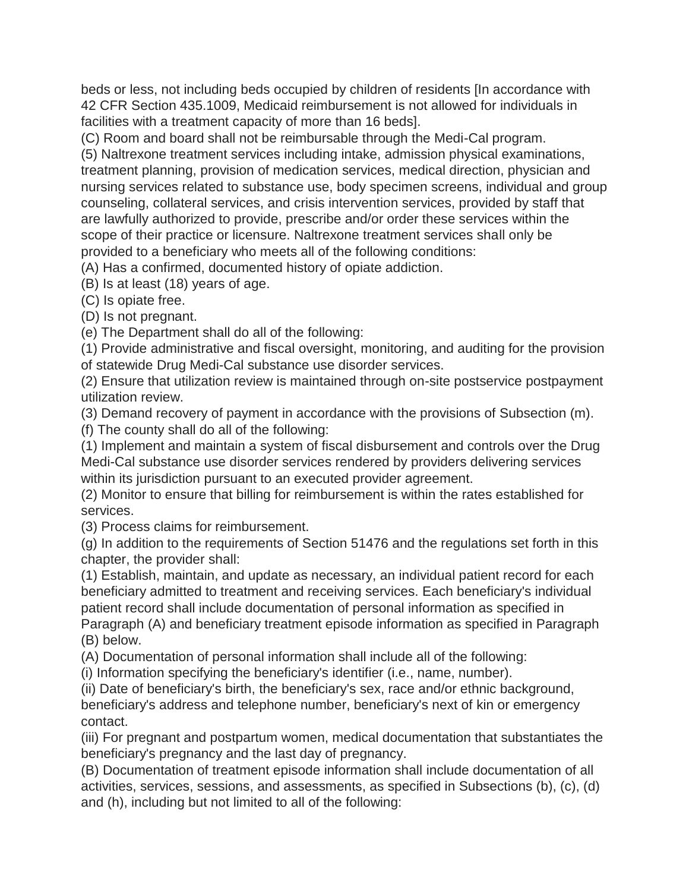beds or less, not including beds occupied by children of residents [In accordance with 42 CFR Section 435.1009, Medicaid reimbursement is not allowed for individuals in facilities with a treatment capacity of more than 16 beds].

(C) Room and board shall not be reimbursable through the Medi-Cal program.

(5) Naltrexone treatment services including intake, admission physical examinations, treatment planning, provision of medication services, medical direction, physician and nursing services related to substance use, body specimen screens, individual and group counseling, collateral services, and crisis intervention services, provided by staff that are lawfully authorized to provide, prescribe and/or order these services within the scope of their practice or licensure. Naltrexone treatment services shall only be provided to a beneficiary who meets all of the following conditions:

(A) Has a confirmed, documented history of opiate addiction.

(B) Is at least (18) years of age.

(C) Is opiate free.

(D) Is not pregnant.

(e) The Department shall do all of the following:

(1) Provide administrative and fiscal oversight, monitoring, and auditing for the provision of statewide Drug Medi-Cal substance use disorder services.

(2) Ensure that utilization review is maintained through on-site postservice postpayment utilization review.

(3) Demand recovery of payment in accordance with the provisions of Subsection (m).

(f) The county shall do all of the following:

(1) Implement and maintain a system of fiscal disbursement and controls over the Drug Medi-Cal substance use disorder services rendered by providers delivering services within its jurisdiction pursuant to an executed provider agreement.

(2) Monitor to ensure that billing for reimbursement is within the rates established for services.

(3) Process claims for reimbursement.

(g) In addition to the requirements of Section 51476 and the regulations set forth in this chapter, the provider shall:

(1) Establish, maintain, and update as necessary, an individual patient record for each beneficiary admitted to treatment and receiving services. Each beneficiary's individual patient record shall include documentation of personal information as specified in Paragraph (A) and beneficiary treatment episode information as specified in Paragraph (B) below.

(A) Documentation of personal information shall include all of the following:

(i) Information specifying the beneficiary's identifier (i.e., name, number).

(ii) Date of beneficiary's birth, the beneficiary's sex, race and/or ethnic background, beneficiary's address and telephone number, beneficiary's next of kin or emergency contact.

(iii) For pregnant and postpartum women, medical documentation that substantiates the beneficiary's pregnancy and the last day of pregnancy.

(B) Documentation of treatment episode information shall include documentation of all activities, services, sessions, and assessments, as specified in Subsections (b), (c), (d) and (h), including but not limited to all of the following: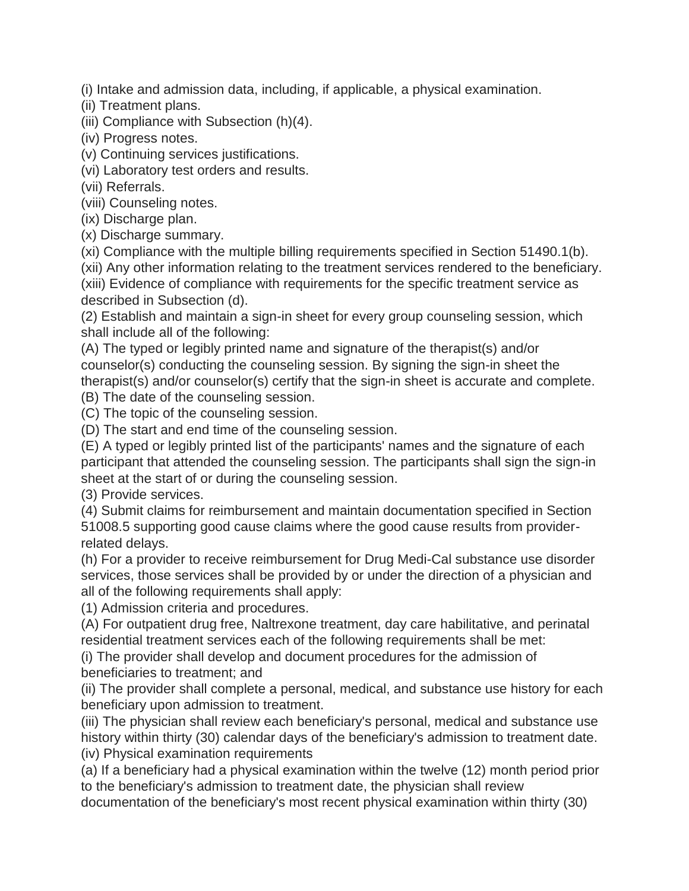(i) Intake and admission data, including, if applicable, a physical examination.

(ii) Treatment plans.

(iii) Compliance with Subsection (h)(4).

(iv) Progress notes.

(v) Continuing services justifications.

(vi) Laboratory test orders and results.

(vii) Referrals.

(viii) Counseling notes.

(ix) Discharge plan.

(x) Discharge summary.

(xi) Compliance with the multiple billing requirements specified in Section 51490.1(b).

(xii) Any other information relating to the treatment services rendered to the beneficiary. (xiii) Evidence of compliance with requirements for the specific treatment service as described in Subsection (d).

(2) Establish and maintain a sign-in sheet for every group counseling session, which shall include all of the following:

(A) The typed or legibly printed name and signature of the therapist(s) and/or counselor(s) conducting the counseling session. By signing the sign-in sheet the therapist(s) and/or counselor(s) certify that the sign-in sheet is accurate and complete.

(B) The date of the counseling session.

(C) The topic of the counseling session.

(D) The start and end time of the counseling session.

(E) A typed or legibly printed list of the participants' names and the signature of each participant that attended the counseling session. The participants shall sign the sign-in sheet at the start of or during the counseling session.

(3) Provide services.

(4) Submit claims for reimbursement and maintain documentation specified in Section 51008.5 supporting good cause claims where the good cause results from providerrelated delays.

(h) For a provider to receive reimbursement for Drug Medi-Cal substance use disorder services, those services shall be provided by or under the direction of a physician and all of the following requirements shall apply:

(1) Admission criteria and procedures.

(A) For outpatient drug free, Naltrexone treatment, day care habilitative, and perinatal residential treatment services each of the following requirements shall be met:

(i) The provider shall develop and document procedures for the admission of beneficiaries to treatment; and

(ii) The provider shall complete a personal, medical, and substance use history for each beneficiary upon admission to treatment.

(iii) The physician shall review each beneficiary's personal, medical and substance use history within thirty (30) calendar days of the beneficiary's admission to treatment date.

(iv) Physical examination requirements

(a) If a beneficiary had a physical examination within the twelve (12) month period prior to the beneficiary's admission to treatment date, the physician shall review

documentation of the beneficiary's most recent physical examination within thirty (30)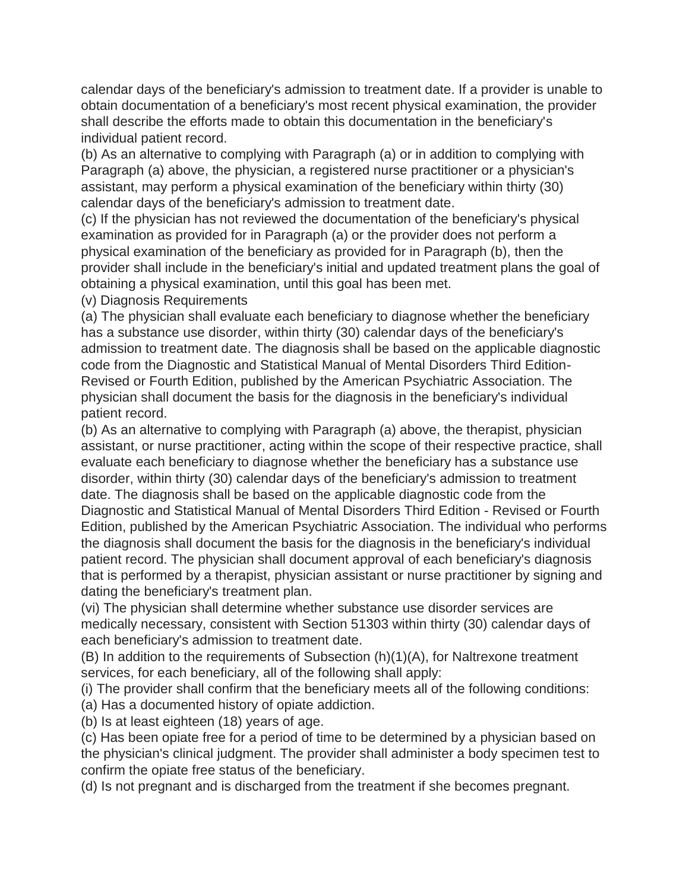calendar days of the beneficiary's admission to treatment date. If a provider is unable to obtain documentation of a beneficiary's most recent physical examination, the provider shall describe the efforts made to obtain this documentation in the beneficiary's individual patient record.

(b) As an alternative to complying with Paragraph (a) or in addition to complying with Paragraph (a) above, the physician, a registered nurse practitioner or a physician's assistant, may perform a physical examination of the beneficiary within thirty (30) calendar days of the beneficiary's admission to treatment date.

(c) If the physician has not reviewed the documentation of the beneficiary's physical examination as provided for in Paragraph (a) or the provider does not perform a physical examination of the beneficiary as provided for in Paragraph (b), then the provider shall include in the beneficiary's initial and updated treatment plans the goal of obtaining a physical examination, until this goal has been met.

(v) Diagnosis Requirements

(a) The physician shall evaluate each beneficiary to diagnose whether the beneficiary has a substance use disorder, within thirty (30) calendar days of the beneficiary's admission to treatment date. The diagnosis shall be based on the applicable diagnostic code from the Diagnostic and Statistical Manual of Mental Disorders Third Edition-Revised or Fourth Edition, published by the American Psychiatric Association. The physician shall document the basis for the diagnosis in the beneficiary's individual patient record.

(b) As an alternative to complying with Paragraph (a) above, the therapist, physician assistant, or nurse practitioner, acting within the scope of their respective practice, shall evaluate each beneficiary to diagnose whether the beneficiary has a substance use disorder, within thirty (30) calendar days of the beneficiary's admission to treatment date. The diagnosis shall be based on the applicable diagnostic code from the Diagnostic and Statistical Manual of Mental Disorders Third Edition - Revised or Fourth Edition, published by the American Psychiatric Association. The individual who performs the diagnosis shall document the basis for the diagnosis in the beneficiary's individual patient record. The physician shall document approval of each beneficiary's diagnosis that is performed by a therapist, physician assistant or nurse practitioner by signing and dating the beneficiary's treatment plan.

(vi) The physician shall determine whether substance use disorder services are medically necessary, consistent with Section 51303 within thirty (30) calendar days of each beneficiary's admission to treatment date.

(B) In addition to the requirements of Subsection (h)(1)(A), for Naltrexone treatment services, for each beneficiary, all of the following shall apply:

(i) The provider shall confirm that the beneficiary meets all of the following conditions:

(a) Has a documented history of opiate addiction.

(b) Is at least eighteen (18) years of age.

(c) Has been opiate free for a period of time to be determined by a physician based on the physician's clinical judgment. The provider shall administer a body specimen test to confirm the opiate free status of the beneficiary.

(d) Is not pregnant and is discharged from the treatment if she becomes pregnant.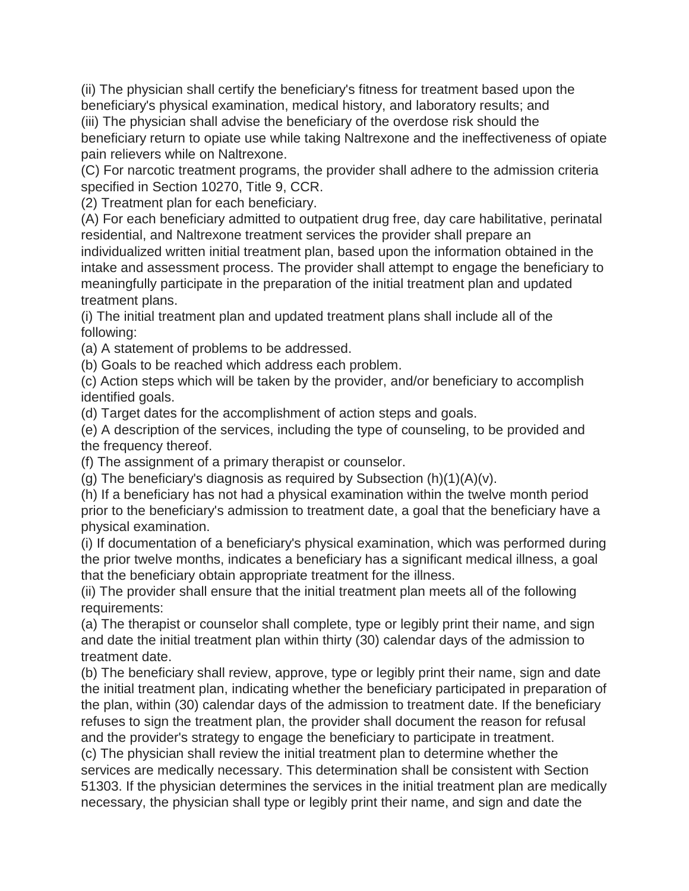(ii) The physician shall certify the beneficiary's fitness for treatment based upon the beneficiary's physical examination, medical history, and laboratory results; and (iii) The physician shall advise the beneficiary of the overdose risk should the beneficiary return to opiate use while taking Naltrexone and the ineffectiveness of opiate

pain relievers while on Naltrexone.

(C) For narcotic treatment programs, the provider shall adhere to the admission criteria specified in Section 10270, Title 9, CCR.

(2) Treatment plan for each beneficiary.

(A) For each beneficiary admitted to outpatient drug free, day care habilitative, perinatal residential, and Naltrexone treatment services the provider shall prepare an individualized written initial treatment plan, based upon the information obtained in the intake and assessment process. The provider shall attempt to engage the beneficiary to meaningfully participate in the preparation of the initial treatment plan and updated treatment plans.

(i) The initial treatment plan and updated treatment plans shall include all of the following:

(a) A statement of problems to be addressed.

(b) Goals to be reached which address each problem.

(c) Action steps which will be taken by the provider, and/or beneficiary to accomplish identified goals.

(d) Target dates for the accomplishment of action steps and goals.

(e) A description of the services, including the type of counseling, to be provided and the frequency thereof.

(f) The assignment of a primary therapist or counselor.

(g) The beneficiary's diagnosis as required by Subsection  $(h)(1)(A)(v)$ .

(h) If a beneficiary has not had a physical examination within the twelve month period prior to the beneficiary's admission to treatment date, a goal that the beneficiary have a physical examination.

(i) If documentation of a beneficiary's physical examination, which was performed during the prior twelve months, indicates a beneficiary has a significant medical illness, a goal that the beneficiary obtain appropriate treatment for the illness.

(ii) The provider shall ensure that the initial treatment plan meets all of the following requirements:

(a) The therapist or counselor shall complete, type or legibly print their name, and sign and date the initial treatment plan within thirty (30) calendar days of the admission to treatment date.

(b) The beneficiary shall review, approve, type or legibly print their name, sign and date the initial treatment plan, indicating whether the beneficiary participated in preparation of the plan, within (30) calendar days of the admission to treatment date. If the beneficiary refuses to sign the treatment plan, the provider shall document the reason for refusal and the provider's strategy to engage the beneficiary to participate in treatment.

(c) The physician shall review the initial treatment plan to determine whether the services are medically necessary. This determination shall be consistent with Section 51303. If the physician determines the services in the initial treatment plan are medically necessary, the physician shall type or legibly print their name, and sign and date the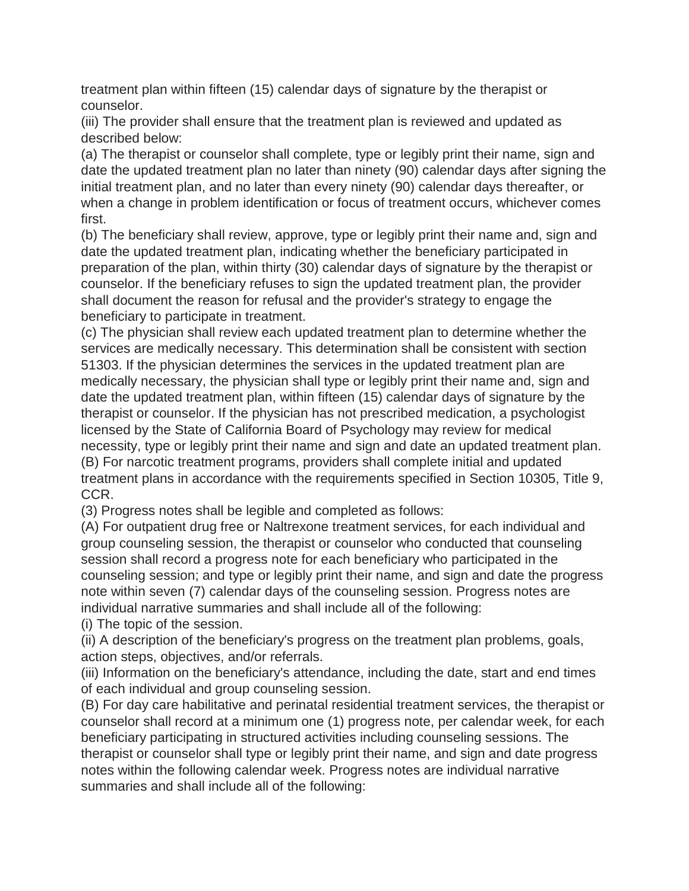treatment plan within fifteen (15) calendar days of signature by the therapist or counselor.

(iii) The provider shall ensure that the treatment plan is reviewed and updated as described below:

(a) The therapist or counselor shall complete, type or legibly print their name, sign and date the updated treatment plan no later than ninety (90) calendar days after signing the initial treatment plan, and no later than every ninety (90) calendar days thereafter, or when a change in problem identification or focus of treatment occurs, whichever comes first.

(b) The beneficiary shall review, approve, type or legibly print their name and, sign and date the updated treatment plan, indicating whether the beneficiary participated in preparation of the plan, within thirty (30) calendar days of signature by the therapist or counselor. If the beneficiary refuses to sign the updated treatment plan, the provider shall document the reason for refusal and the provider's strategy to engage the beneficiary to participate in treatment.

(c) The physician shall review each updated treatment plan to determine whether the services are medically necessary. This determination shall be consistent with section 51303. If the physician determines the services in the updated treatment plan are medically necessary, the physician shall type or legibly print their name and, sign and date the updated treatment plan, within fifteen (15) calendar days of signature by the therapist or counselor. If the physician has not prescribed medication, a psychologist licensed by the State of California Board of Psychology may review for medical necessity, type or legibly print their name and sign and date an updated treatment plan. (B) For narcotic treatment programs, providers shall complete initial and updated treatment plans in accordance with the requirements specified in Section 10305, Title 9, CCR.

(3) Progress notes shall be legible and completed as follows:

(A) For outpatient drug free or Naltrexone treatment services, for each individual and group counseling session, the therapist or counselor who conducted that counseling session shall record a progress note for each beneficiary who participated in the counseling session; and type or legibly print their name, and sign and date the progress note within seven (7) calendar days of the counseling session. Progress notes are individual narrative summaries and shall include all of the following:

(i) The topic of the session.

(ii) A description of the beneficiary's progress on the treatment plan problems, goals, action steps, objectives, and/or referrals.

(iii) Information on the beneficiary's attendance, including the date, start and end times of each individual and group counseling session.

(B) For day care habilitative and perinatal residential treatment services, the therapist or counselor shall record at a minimum one (1) progress note, per calendar week, for each beneficiary participating in structured activities including counseling sessions. The therapist or counselor shall type or legibly print their name, and sign and date progress notes within the following calendar week. Progress notes are individual narrative summaries and shall include all of the following: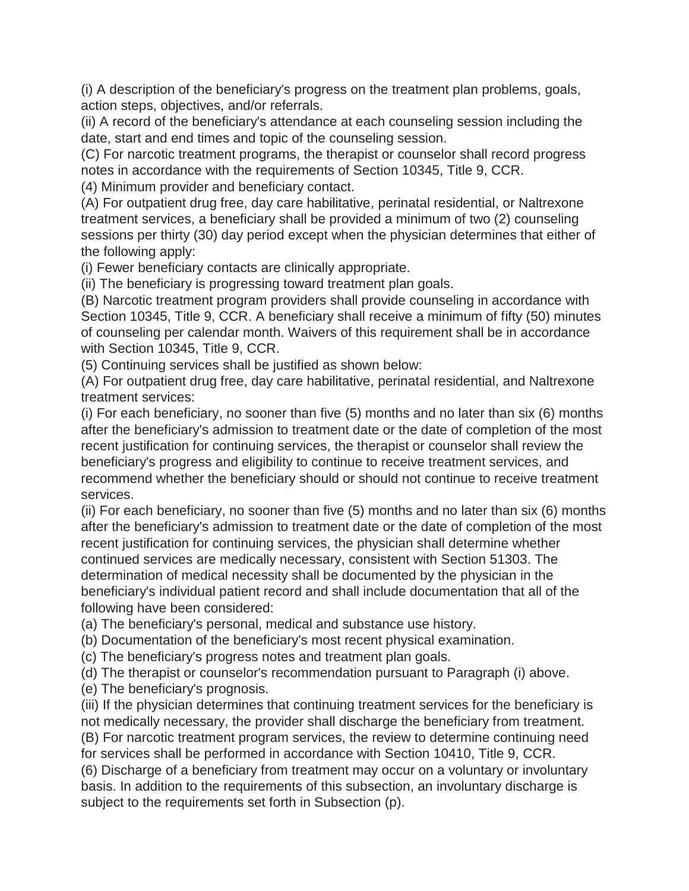(i) A description of the beneficiary's progress on the treatment plan problems, goals, action steps, objectives, and/or referrals.

(ii) A record of the beneficiary's attendance at each counseling session including the date, start and end times and topic of the counseling session.

(C) For narcotic treatment programs, the therapist or counselor shall record progress notes in accordance with the requirements of Section 10345, Title 9, CCR.

(4) Minimum provider and beneficiary contact.

(A) For outpatient drug free, day care habilitative, perinatal residential, or Naltrexone treatment services, a beneficiary shall be provided a minimum of two (2) counseling sessions per thirty (30) day period except when the physician determines that either of the following apply:

(i) Fewer beneficiary contacts are clinically appropriate.

(ii) The beneficiary is progressing toward treatment plan goals.

(B) Narcotic treatment program providers shall provide counseling in accordance with Section 10345, Title 9, CCR. A beneficiary shall receive a minimum of fifty (50) minutes of counseling per calendar month. Waivers of this requirement shall be in accordance with Section 10345, Title 9, CCR.

(5) Continuing services shall be justified as shown below:

(A) For outpatient drug free, day care habilitative, perinatal residential, and Naltrexone treatment services:

(i) For each beneficiary, no sooner than five (5) months and no later than six (6) months after the beneficiary's admission to treatment date or the date of completion of the most recent justification for continuing services, the therapist or counselor shall review the beneficiary's progress and eligibility to continue to receive treatment services, and recommend whether the beneficiary should or should not continue to receive treatment services.

(ii) For each beneficiary, no sooner than five (5) months and no later than six (6) months after the beneficiary's admission to treatment date or the date of completion of the most recent justification for continuing services, the physician shall determine whether continued services are medically necessary, consistent with Section 51303. The determination of medical necessity shall be documented by the physician in the beneficiary's individual patient record and shall include documentation that all of the following have been considered:

(a) The beneficiary's personal, medical and substance use history.

(b) Documentation of the beneficiary's most recent physical examination.

(c) The beneficiary's progress notes and treatment plan goals.

(d) The therapist or counselor's recommendation pursuant to Paragraph (i) above.

(e) The beneficiary's prognosis.

(iii) If the physician determines that continuing treatment services for the beneficiary is not medically necessary, the provider shall discharge the beneficiary from treatment. (B) For narcotic treatment program services, the review to determine continuing need

for services shall be performed in accordance with Section 10410, Title 9, CCR.

(6) Discharge of a beneficiary from treatment may occur on a voluntary or involuntary basis. In addition to the requirements of this subsection, an involuntary discharge is subject to the requirements set forth in Subsection (p).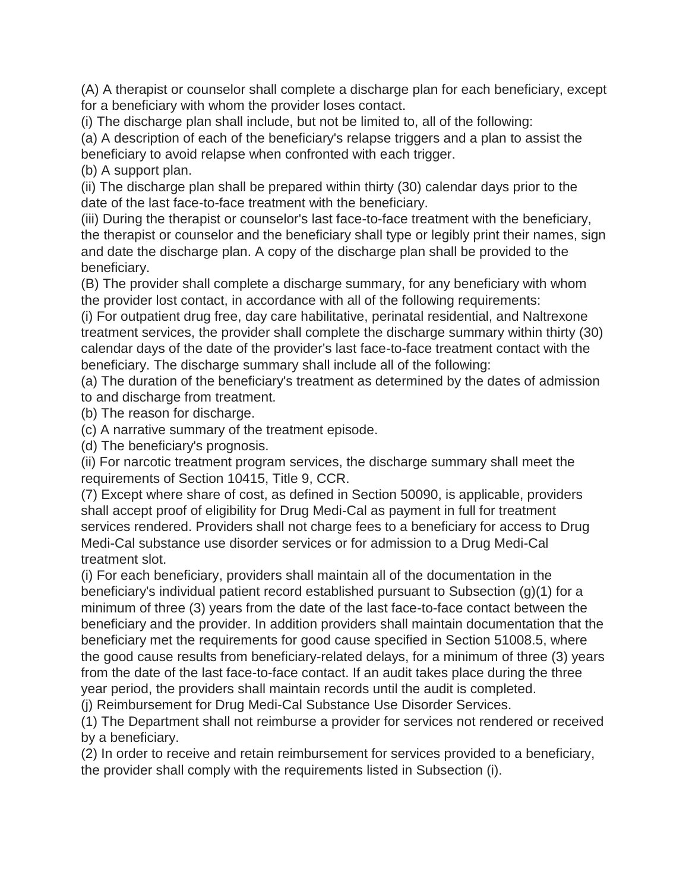(A) A therapist or counselor shall complete a discharge plan for each beneficiary, except for a beneficiary with whom the provider loses contact.

(i) The discharge plan shall include, but not be limited to, all of the following:

(a) A description of each of the beneficiary's relapse triggers and a plan to assist the beneficiary to avoid relapse when confronted with each trigger.

(b) A support plan.

(ii) The discharge plan shall be prepared within thirty (30) calendar days prior to the date of the last face-to-face treatment with the beneficiary.

(iii) During the therapist or counselor's last face-to-face treatment with the beneficiary, the therapist or counselor and the beneficiary shall type or legibly print their names, sign and date the discharge plan. A copy of the discharge plan shall be provided to the beneficiary.

(B) The provider shall complete a discharge summary, for any beneficiary with whom the provider lost contact, in accordance with all of the following requirements:

(i) For outpatient drug free, day care habilitative, perinatal residential, and Naltrexone treatment services, the provider shall complete the discharge summary within thirty (30) calendar days of the date of the provider's last face-to-face treatment contact with the beneficiary. The discharge summary shall include all of the following:

(a) The duration of the beneficiary's treatment as determined by the dates of admission to and discharge from treatment.

(b) The reason for discharge.

(c) A narrative summary of the treatment episode.

(d) The beneficiary's prognosis.

(ii) For narcotic treatment program services, the discharge summary shall meet the requirements of Section 10415, Title 9, CCR.

(7) Except where share of cost, as defined in Section 50090, is applicable, providers shall accept proof of eligibility for Drug Medi-Cal as payment in full for treatment services rendered. Providers shall not charge fees to a beneficiary for access to Drug Medi-Cal substance use disorder services or for admission to a Drug Medi-Cal treatment slot.

(i) For each beneficiary, providers shall maintain all of the documentation in the beneficiary's individual patient record established pursuant to Subsection (g)(1) for a minimum of three (3) years from the date of the last face-to-face contact between the beneficiary and the provider. In addition providers shall maintain documentation that the beneficiary met the requirements for good cause specified in Section 51008.5, where the good cause results from beneficiary-related delays, for a minimum of three (3) years from the date of the last face-to-face contact. If an audit takes place during the three year period, the providers shall maintain records until the audit is completed.

(j) Reimbursement for Drug Medi-Cal Substance Use Disorder Services.

(1) The Department shall not reimburse a provider for services not rendered or received by a beneficiary.

(2) In order to receive and retain reimbursement for services provided to a beneficiary, the provider shall comply with the requirements listed in Subsection (i).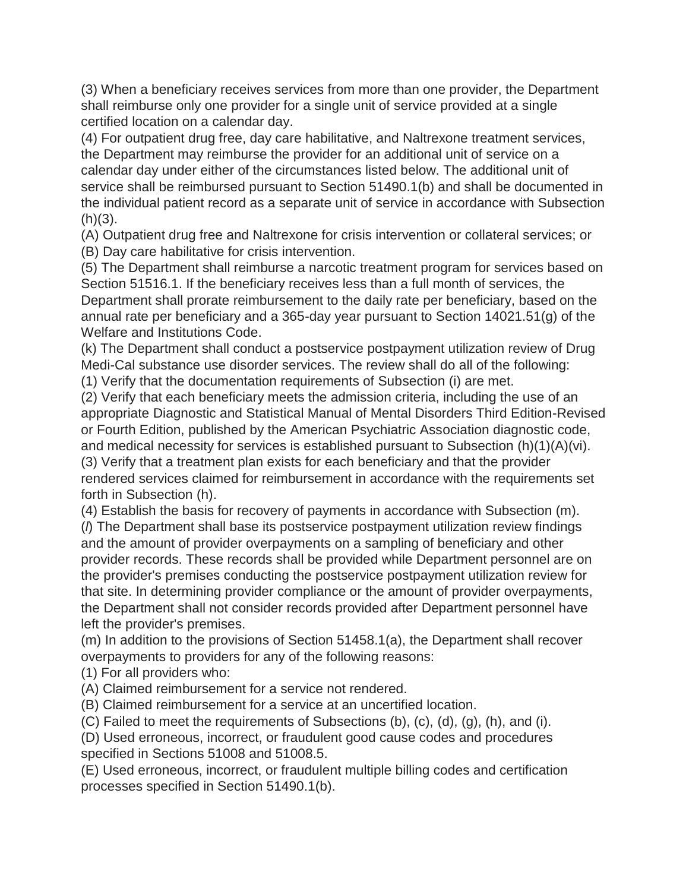(3) When a beneficiary receives services from more than one provider, the Department shall reimburse only one provider for a single unit of service provided at a single certified location on a calendar day.

(4) For outpatient drug free, day care habilitative, and Naltrexone treatment services, the Department may reimburse the provider for an additional unit of service on a calendar day under either of the circumstances listed below. The additional unit of service shall be reimbursed pursuant to Section 51490.1(b) and shall be documented in the individual patient record as a separate unit of service in accordance with Subsection  $(h)(3)$ .

(A) Outpatient drug free and Naltrexone for crisis intervention or collateral services; or (B) Day care habilitative for crisis intervention.

(5) The Department shall reimburse a narcotic treatment program for services based on Section 51516.1. If the beneficiary receives less than a full month of services, the Department shall prorate reimbursement to the daily rate per beneficiary, based on the annual rate per beneficiary and a 365-day year pursuant to Section 14021.51(g) of the Welfare and Institutions Code.

(k) The Department shall conduct a postservice postpayment utilization review of Drug Medi-Cal substance use disorder services. The review shall do all of the following:

(1) Verify that the documentation requirements of Subsection (i) are met.

(2) Verify that each beneficiary meets the admission criteria, including the use of an appropriate Diagnostic and Statistical Manual of Mental Disorders Third Edition-Revised or Fourth Edition, published by the American Psychiatric Association diagnostic code, and medical necessity for services is established pursuant to Subsection (h)(1)(A)(vi). (3) Verify that a treatment plan exists for each beneficiary and that the provider rendered services claimed for reimbursement in accordance with the requirements set

forth in Subsection (h).

(4) Establish the basis for recovery of payments in accordance with Subsection (m).

(*l*) The Department shall base its postservice postpayment utilization review findings and the amount of provider overpayments on a sampling of beneficiary and other provider records. These records shall be provided while Department personnel are on the provider's premises conducting the postservice postpayment utilization review for that site. In determining provider compliance or the amount of provider overpayments, the Department shall not consider records provided after Department personnel have left the provider's premises.

(m) In addition to the provisions of Section 51458.1(a), the Department shall recover overpayments to providers for any of the following reasons:

(1) For all providers who:

(A) Claimed reimbursement for a service not rendered.

(B) Claimed reimbursement for a service at an uncertified location.

(C) Failed to meet the requirements of Subsections (b), (c), (d), (g), (h), and (i).

(D) Used erroneous, incorrect, or fraudulent good cause codes and procedures specified in Sections 51008 and 51008.5.

(E) Used erroneous, incorrect, or fraudulent multiple billing codes and certification processes specified in Section 51490.1(b).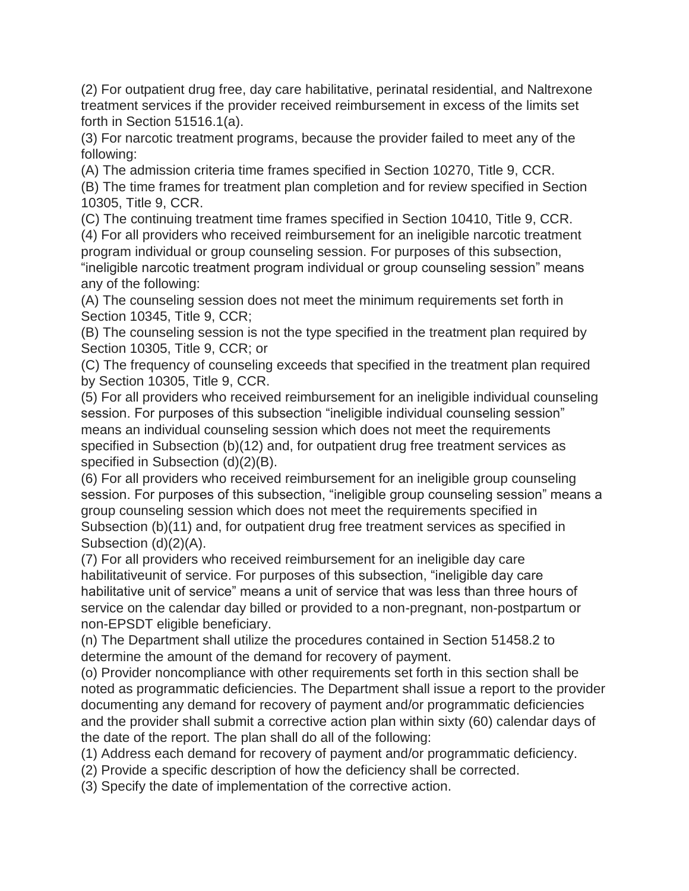(2) For outpatient drug free, day care habilitative, perinatal residential, and Naltrexone treatment services if the provider received reimbursement in excess of the limits set forth in Section 51516.1(a).

(3) For narcotic treatment programs, because the provider failed to meet any of the following:

(A) The admission criteria time frames specified in Section 10270, Title 9, CCR.

(B) The time frames for treatment plan completion and for review specified in Section 10305, Title 9, CCR.

(C) The continuing treatment time frames specified in Section 10410, Title 9, CCR. (4) For all providers who received reimbursement for an ineligible narcotic treatment program individual or group counseling session. For purposes of this subsection, "ineligible narcotic treatment program individual or group counseling session" means any of the following:

(A) The counseling session does not meet the minimum requirements set forth in Section 10345, Title 9, CCR;

(B) The counseling session is not the type specified in the treatment plan required by Section 10305, Title 9, CCR; or

(C) The frequency of counseling exceeds that specified in the treatment plan required by Section 10305, Title 9, CCR.

(5) For all providers who received reimbursement for an ineligible individual counseling session. For purposes of this subsection "ineligible individual counseling session" means an individual counseling session which does not meet the requirements specified in Subsection (b)(12) and, for outpatient drug free treatment services as specified in Subsection (d)(2)(B).

(6) For all providers who received reimbursement for an ineligible group counseling session. For purposes of this subsection, "ineligible group counseling session" means a group counseling session which does not meet the requirements specified in Subsection (b)(11) and, for outpatient drug free treatment services as specified in Subsection (d)(2)(A).

(7) For all providers who received reimbursement for an ineligible day care habilitativeunit of service. For purposes of this subsection, "ineligible day care habilitative unit of service" means a unit of service that was less than three hours of service on the calendar day billed or provided to a non-pregnant, non-postpartum or non-EPSDT eligible beneficiary.

(n) The Department shall utilize the procedures contained in Section 51458.2 to determine the amount of the demand for recovery of payment.

(o) Provider noncompliance with other requirements set forth in this section shall be noted as programmatic deficiencies. The Department shall issue a report to the provider documenting any demand for recovery of payment and/or programmatic deficiencies and the provider shall submit a corrective action plan within sixty (60) calendar days of the date of the report. The plan shall do all of the following:

(1) Address each demand for recovery of payment and/or programmatic deficiency.

(2) Provide a specific description of how the deficiency shall be corrected.

(3) Specify the date of implementation of the corrective action.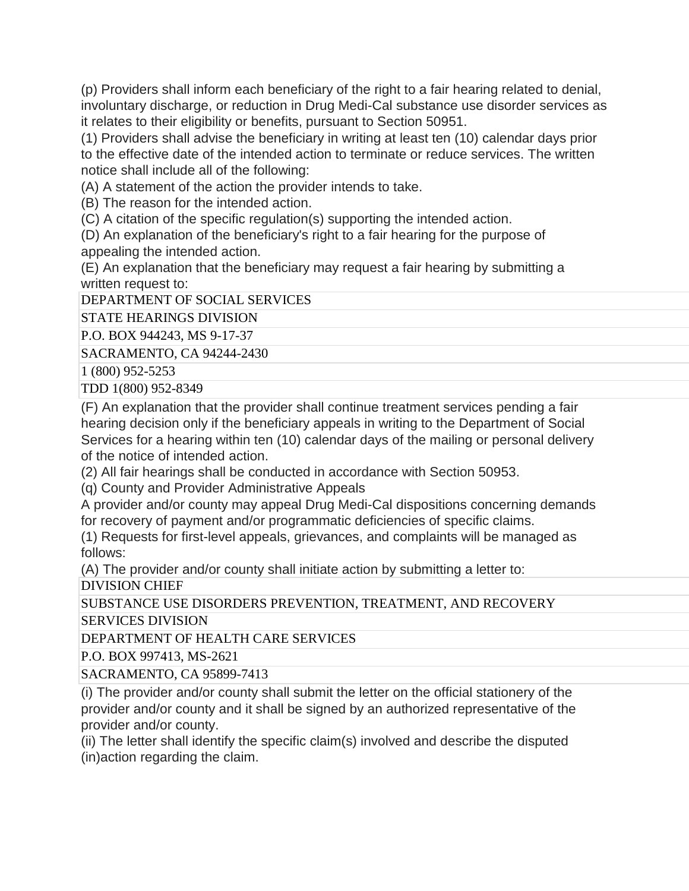(p) Providers shall inform each beneficiary of the right to a fair hearing related to denial, involuntary discharge, or reduction in Drug Medi-Cal substance use disorder services as it relates to their eligibility or benefits, pursuant to Section 50951.

(1) Providers shall advise the beneficiary in writing at least ten (10) calendar days prior to the effective date of the intended action to terminate or reduce services. The written notice shall include all of the following:

(A) A statement of the action the provider intends to take.

(B) The reason for the intended action.

(C) A citation of the specific regulation(s) supporting the intended action.

(D) An explanation of the beneficiary's right to a fair hearing for the purpose of appealing the intended action.

(E) An explanation that the beneficiary may request a fair hearing by submitting a written request to:

DEPARTMENT OF SOCIAL SERVICES

STATE HEARINGS DIVISION

P.O. BOX 944243, MS 9-17-37

SACRAMENTO, CA 94244-2430

1 (800) 952-5253

TDD 1(800) 952-8349

(F) An explanation that the provider shall continue treatment services pending a fair hearing decision only if the beneficiary appeals in writing to the Department of Social Services for a hearing within ten (10) calendar days of the mailing or personal delivery of the notice of intended action.

(2) All fair hearings shall be conducted in accordance with Section 50953.

(q) County and Provider Administrative Appeals

A provider and/or county may appeal Drug Medi-Cal dispositions concerning demands for recovery of payment and/or programmatic deficiencies of specific claims.

(1) Requests for first-level appeals, grievances, and complaints will be managed as follows:

(A) The provider and/or county shall initiate action by submitting a letter to: DIVISION CHIEF

SUBSTANCE USE DISORDERS PREVENTION, TREATMENT, AND RECOVERY SERVICES DIVISION

DEPARTMENT OF HEALTH CARE SERVICES

P.O. BOX 997413, MS-2621

SACRAMENTO, CA 95899-7413

(i) The provider and/or county shall submit the letter on the official stationery of the provider and/or county and it shall be signed by an authorized representative of the provider and/or county.

(ii) The letter shall identify the specific claim(s) involved and describe the disputed (in)action regarding the claim.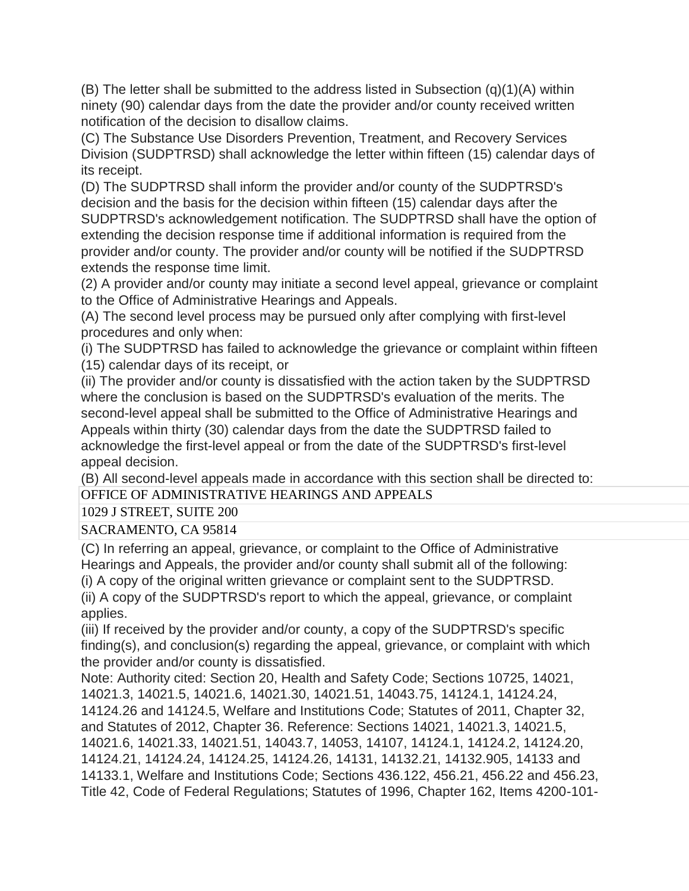$(B)$  The letter shall be submitted to the address listed in Subsection  $(q)(1)(A)$  within ninety (90) calendar days from the date the provider and/or county received written notification of the decision to disallow claims.

(C) The Substance Use Disorders Prevention, Treatment, and Recovery Services Division (SUDPTRSD) shall acknowledge the letter within fifteen (15) calendar days of its receipt.

(D) The SUDPTRSD shall inform the provider and/or county of the SUDPTRSD's decision and the basis for the decision within fifteen (15) calendar days after the SUDPTRSD's acknowledgement notification. The SUDPTRSD shall have the option of extending the decision response time if additional information is required from the provider and/or county. The provider and/or county will be notified if the SUDPTRSD extends the response time limit.

(2) A provider and/or county may initiate a second level appeal, grievance or complaint to the Office of Administrative Hearings and Appeals.

(A) The second level process may be pursued only after complying with first-level procedures and only when:

(i) The SUDPTRSD has failed to acknowledge the grievance or complaint within fifteen (15) calendar days of its receipt, or

(ii) The provider and/or county is dissatisfied with the action taken by the SUDPTRSD where the conclusion is based on the SUDPTRSD's evaluation of the merits. The second-level appeal shall be submitted to the Office of Administrative Hearings and Appeals within thirty (30) calendar days from the date the SUDPTRSD failed to acknowledge the first-level appeal or from the date of the SUDPTRSD's first-level appeal decision.

(B) All second-level appeals made in accordance with this section shall be directed to: OFFICE OF ADMINISTRATIVE HEARINGS AND APPEALS

1029 J STREET, SUITE 200

SACRAMENTO, CA 95814

(C) In referring an appeal, grievance, or complaint to the Office of Administrative Hearings and Appeals, the provider and/or county shall submit all of the following: (i) A copy of the original written grievance or complaint sent to the SUDPTRSD.

(ii) A copy of the SUDPTRSD's report to which the appeal, grievance, or complaint applies.

(iii) If received by the provider and/or county, a copy of the SUDPTRSD's specific finding(s), and conclusion(s) regarding the appeal, grievance, or complaint with which the provider and/or county is dissatisfied.

Note: Authority cited: Section 20, Health and Safety Code; Sections 10725, 14021, 14021.3, 14021.5, 14021.6, 14021.30, 14021.51, 14043.75, 14124.1, 14124.24, 14124.26 and 14124.5, Welfare and Institutions Code; Statutes of 2011, Chapter 32, and Statutes of 2012, Chapter 36. Reference: Sections 14021, 14021.3, 14021.5, 14021.6, 14021.33, 14021.51, 14043.7, 14053, 14107, 14124.1, 14124.2, 14124.20, 14124.21, 14124.24, 14124.25, 14124.26, 14131, 14132.21, 14132.905, 14133 and 14133.1, Welfare and Institutions Code; Sections 436.122, 456.21, 456.22 and 456.23, Title 42, Code of Federal Regulations; Statutes of 1996, Chapter 162, Items 4200-101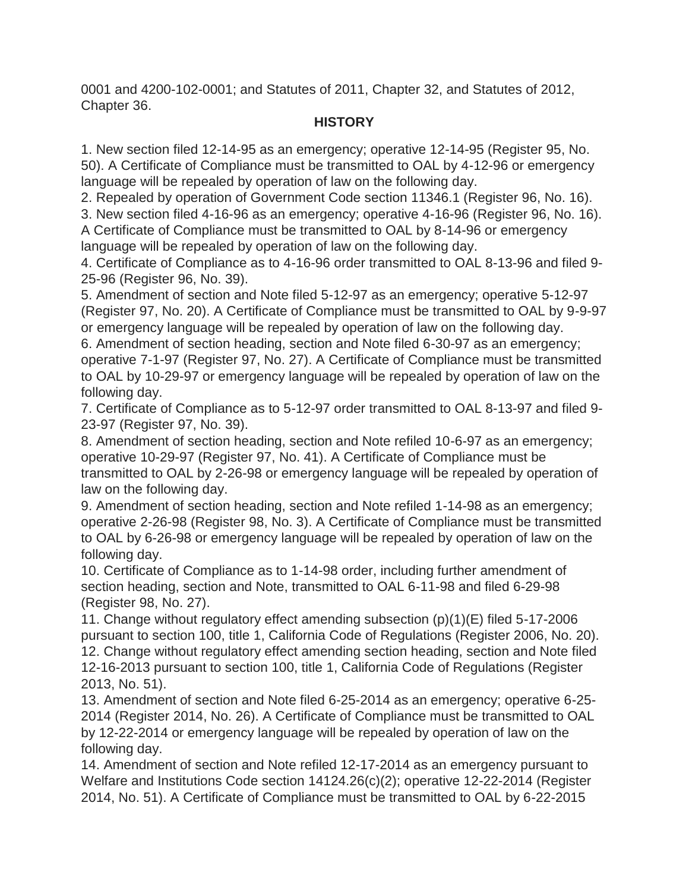0001 and 4200-102-0001; and Statutes of 2011, Chapter 32, and Statutes of 2012, Chapter 36.

## **HISTORY**

1. New section filed 12-14-95 as an emergency; operative 12-14-95 (Register 95, No. 50). A Certificate of Compliance must be transmitted to OAL by 4-12-96 or emergency language will be repealed by operation of law on the following day.

2. Repealed by operation of Government Code section 11346.1 (Register 96, No. 16).

3. New section filed 4-16-96 as an emergency; operative 4-16-96 (Register 96, No. 16).

A Certificate of Compliance must be transmitted to OAL by 8-14-96 or emergency language will be repealed by operation of law on the following day.

4. Certificate of Compliance as to 4-16-96 order transmitted to OAL 8-13-96 and filed 9- 25-96 (Register 96, No. 39).

5. Amendment of section and Note filed 5-12-97 as an emergency; operative 5-12-97 (Register 97, No. 20). A Certificate of Compliance must be transmitted to OAL by 9-9-97 or emergency language will be repealed by operation of law on the following day.

6. Amendment of section heading, section and Note filed 6-30-97 as an emergency; operative 7-1-97 (Register 97, No. 27). A Certificate of Compliance must be transmitted to OAL by 10-29-97 or emergency language will be repealed by operation of law on the following day.

7. Certificate of Compliance as to 5-12-97 order transmitted to OAL 8-13-97 and filed 9- 23-97 (Register 97, No. 39).

8. Amendment of section heading, section and Note refiled 10-6-97 as an emergency; operative 10-29-97 (Register 97, No. 41). A Certificate of Compliance must be transmitted to OAL by 2-26-98 or emergency language will be repealed by operation of law on the following day.

9. Amendment of section heading, section and Note refiled 1-14-98 as an emergency; operative 2-26-98 (Register 98, No. 3). A Certificate of Compliance must be transmitted to OAL by 6-26-98 or emergency language will be repealed by operation of law on the following day.

10. Certificate of Compliance as to 1-14-98 order, including further amendment of section heading, section and Note, transmitted to OAL 6-11-98 and filed 6-29-98 (Register 98, No. 27).

11. Change without regulatory effect amending subsection (p)(1)(E) filed 5-17-2006 pursuant to section 100, title 1, California Code of Regulations (Register 2006, No. 20). 12. Change without regulatory effect amending section heading, section and Note filed 12-16-2013 pursuant to section 100, title 1, California Code of Regulations (Register 2013, No. 51).

13. Amendment of section and Note filed 6-25-2014 as an emergency; operative 6-25- 2014 (Register 2014, No. 26). A Certificate of Compliance must be transmitted to OAL by 12-22-2014 or emergency language will be repealed by operation of law on the following day.

14. Amendment of section and Note refiled 12-17-2014 as an emergency pursuant to Welfare and Institutions Code section 14124.26(c)(2); operative 12-22-2014 (Register 2014, No. 51). A Certificate of Compliance must be transmitted to OAL by 6-22-2015